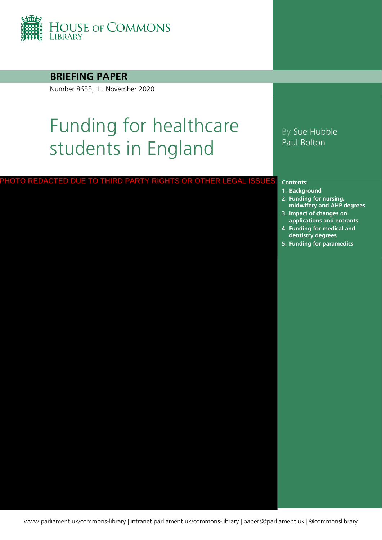

### **BRIEFING PAPER**

Number 8655, 11 November 2020

# Funding for healthcare students in England

#### PHOTO REDACTED DUE TO THIRD PARTY RIGHTS OR OTHER LEGAL ISSUES

## By Sue Hubble Paul Bolton

#### **Contents:**

- **1. [Background](#page-4-0)**
- **2. [Funding for nursing,](#page-6-0)  midwifery and AHP degrees**
- **3. [Impact of changes on](#page-9-0)  applications and entrants**
- **4. [Funding for medical and](#page-15-0)  dentistry degrees**
- **5. [Funding for paramedics](#page-18-0)**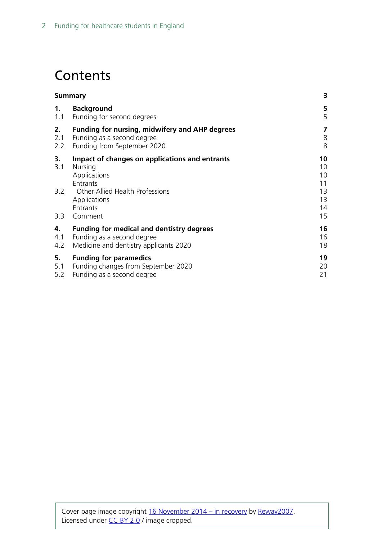# **Contents**

|            | <b>Summary</b>                                                                        | 3                    |
|------------|---------------------------------------------------------------------------------------|----------------------|
| 1.         | <b>Background</b>                                                                     | 5                    |
| 1.1        | Funding for second degrees                                                            | 5                    |
| 2.         | <b>Funding for nursing, midwifery and AHP degrees</b>                                 | 7                    |
| 2.1        | Funding as a second degree                                                            | 8                    |
| 2.2        | Funding from September 2020                                                           | 8                    |
| 3.<br>3.1  | Impact of changes on applications and entrants<br>Nursing<br>Applications<br>Entrants | 10<br>10<br>10<br>11 |
| 3.2<br>3.3 | Other Allied Health Professions<br>Applications<br>Entrants<br>Comment                | 13<br>13<br>14<br>15 |
| 4.         | <b>Funding for medical and dentistry degrees</b>                                      | 16                   |
| 4.1        | Funding as a second degree                                                            | 16                   |
| 4.2        | Medicine and dentistry applicants 2020                                                | 18                   |
| 5.         | <b>Funding for paramedics</b>                                                         | 19                   |
| 5.1        | Funding changes from September 2020                                                   | 20                   |
| 5.2        | Funding as a second degree                                                            | 21                   |
|            |                                                                                       |                      |

Cover page image copyright [16 November 2014 –](https://www.flickr.com/photos/reway2007/15618904107/in/photolist-pNbY38-ao15x5-eZG9EY-jnsiuH-bpDmKg-bF6UuA-bd6Ae4-6PEAC6-7VLnYd-5kNVsU-cCVLkf-4LLaqL-eZuMDF-aDDAyG-8xexhL-4QgnYX-nirJ5C-pFJp9d-8Ppkc6-q28dHa-5Sz1Fv-as3cmq-bpDmia-3f5EAU-q1ZfbE-qitMd9-q28e7M-q26HG8-2Ktinj-97uHCk-6qqDgc-8Lrt75-6sdCW9-8HZ3L-4djZMV-arZYav-arZYkF-oMJJ7P-5XoVVa-pJBATU-bpD7Xx-bpD7Ji-5jZAPH-ps6RTK-eZG9E5-6aoJot-pGrKq9-a9TugS-aDMEZy-8Scmo6) in recovery by [Reway2007.](https://www.flickr.com/photos/reway2007/) Licensed under [CC BY 2.0](https://creativecommons.org/licenses/by-nc-sa/2.0/) / image cropped.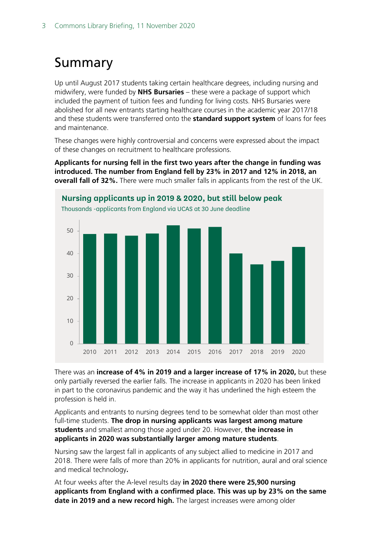# <span id="page-2-0"></span>Summary

Up until August 2017 students taking certain healthcare degrees, including nursing and midwifery, were funded by **NHS Bursaries** – these were a package of support which included the payment of tuition fees and funding for living costs. NHS Bursaries were abolished for all new entrants starting healthcare courses in the academic year 2017/18 and these students were transferred onto the **standard support system** of loans for fees and maintenance.

These changes were highly controversial and concerns were expressed about the impact of these changes on recruitment to healthcare professions.

**Applicants for nursing fell in the first two years after the change in funding was introduced. The number from England fell by 23% in 2017 and 12% in 2018, an overall fall of 32%.** There were much smaller falls in applicants from the rest of the UK.



There was an **increase of 4% in 2019 and a larger increase of 17% in 2020,** but these only partially reversed the earlier falls. The increase in applicants in 2020 has been linked in part to the coronavirus pandemic and the way it has underlined the high esteem the profession is held in.

Applicants and entrants to nursing degrees tend to be somewhat older than most other full-time students. **The drop in nursing applicants was largest among mature students** and smallest among those aged under 20. However, **the increase in applicants in 2020 was substantially larger among mature students**.

Nursing saw the largest fall in applicants of any subject allied to medicine in 2017 and 2018. There were falls of more than 20% in applicants for nutrition, aural and oral science and medical technology**.**

At four weeks after the A-level results day **in 2020 there were 25,900 nursing applicants from England with a confirmed place. This was up by 23% on the same date in 2019 and a new record high.** The largest increases were among older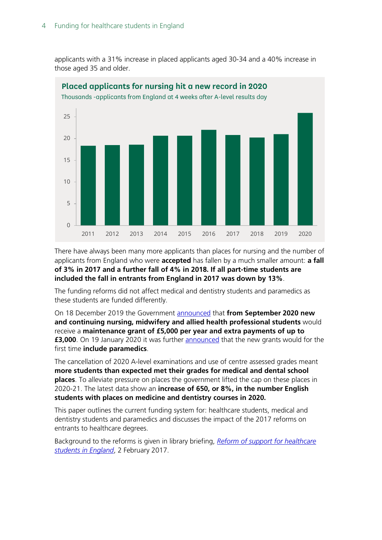applicants with a 31% increase in placed applicants aged 30-34 and a 40% increase in those aged 35 and older.



There have always been many more applicants than places for nursing and the number of applicants from England who were **accepted** has fallen by a much smaller amount: **a fall of 3% in 2017 and a further fall of 4% in 2018. If all part-time students are included the fall in entrants from England in 2017 was down by 13%**.

The funding reforms did not affect medical and dentistry students and paramedics as these students are funded differently.

On 18 December 2019 the Government [announced](https://www.gov.uk/government/news/nursing-students-to-receive-5-000-payment-a-year) that **from September 2020 new and continuing nursing, midwifery and allied health professional students** would receive a **maintenance grant of £5,000 per year and extra payments of up to £3,000**. On 19 January 2020 it was further [announced](https://www.gov.uk/government/news/paramedic-students-will-get-5000-support-payment-each-year) that the new grants would for the first time **include paramedics**.

The cancellation of 2020 A-level examinations and use of centre assessed grades meant **more students than expected met their grades for medical and dental school places**. To alleviate pressure on places the government lifted the cap on these places in 2020-21. The latest data show an **increase of 650, or 8%, in the number English students with places on medicine and dentistry courses in 2020.**

This paper outlines the current funding system for: healthcare students, medical and dentistry students and paramedics and discusses the impact of the 2017 reforms on entrants to healthcare degrees.

Background to the reforms is given in library briefing, *[Reform of support for healthcare](https://researchbriefings.files.parliament.uk/documents/CBP-7436/CBP-7436.pdf)  [students in England](https://researchbriefings.files.parliament.uk/documents/CBP-7436/CBP-7436.pdf)*, 2 February 2017.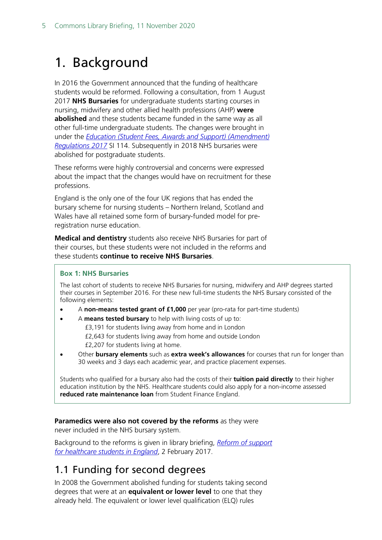# <span id="page-4-0"></span>1. Background

In 2016 the Government announced that the funding of healthcare students would be reformed. Following a consultation, from 1 August 2017 **NHS Bursaries** for undergraduate students starting courses in nursing, midwifery and other allied health professions (AHP) **were abolished** and these students became funded in the same way as all other full-time undergraduate students. The changes were brought in under the *[Education \(Student Fees, Awards and Support\) \(Amendment\)](https://www.legislation.gov.uk/uksi/2017/114/memorandum/contents)  [Regulations 2017](https://www.legislation.gov.uk/uksi/2017/114/memorandum/contents)* SI 114. Subsequently in 2018 NHS bursaries were abolished for postgraduate students.

These reforms were highly controversial and concerns were expressed about the impact that the changes would have on recruitment for these professions.

England is the only one of the four UK regions that has ended the bursary scheme for nursing students – Northern Ireland, Scotland and Wales have all retained some form of bursary-funded model for preregistration nurse education.

**Medical and dentistry** students also receive NHS Bursaries for part of their courses, but these students were not included in the reforms and these students **continue to receive NHS Bursaries**.

### **Box 1: NHS Bursaries**

The last cohort of students to receive NHS Bursaries for nursing, midwifery and AHP degrees started their courses in September 2016. For these new full-time students the NHS Bursary consisted of the following elements:

- A **non-means tested grant of £1,000** per year (pro-rata for part-time students)
- A **means tested bursary** to help with living costs of up to: £3,191 for students living away from home and in London £2,643 for students living away from home and outside London £2,207 for students living at home.
- Other **bursary elements** such as **extra week's allowances** for courses that run for longer than 30 weeks and 3 days each academic year, and practice placement expenses.

Students who qualified for a bursary also had the costs of their **tuition paid directly** to their higher education institution by the NHS. Healthcare students could also apply for a non-income assessed **reduced rate maintenance loan** from Student Finance England.

#### **Paramedics were also not covered by the reforms** as they were

never included in the NHS bursary system.

Background to the reforms is given in library briefing, *[Reform of support](https://researchbriefings.files.parliament.uk/documents/CBP-7436/CBP-7436.pdf)  [for healthcare students in England](https://researchbriefings.files.parliament.uk/documents/CBP-7436/CBP-7436.pdf)*, 2 February 2017.

# <span id="page-4-1"></span>1.1 Funding for second degrees

In 2008 the Government abolished funding for students taking second degrees that were at an **equivalent or lower level** to one that they already held. The equivalent or lower level qualification (ELQ) rules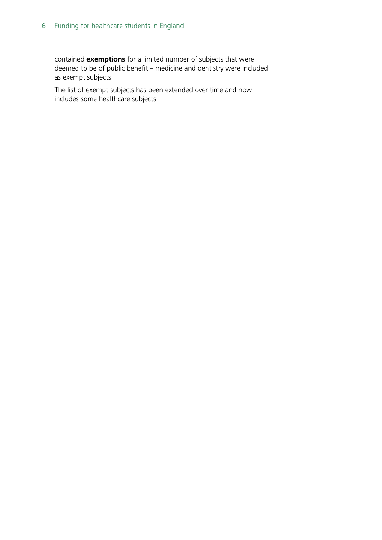contained **exemptions** for a limited number of subjects that were deemed to be of public benefit – medicine and dentistry were included as exempt subjects.

The list of exempt subjects has been extended over time and now includes some healthcare subjects.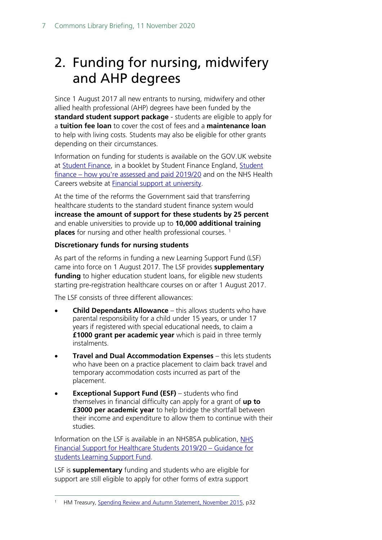# <span id="page-6-0"></span>2. Funding for nursing, midwifery and AHP degrees

Since 1 August 2017 all new entrants to nursing, midwifery and other allied health professional (AHP) degrees have been funded by the **standard student support package** - students are eligible to apply for a **tuition fee loan** to cover the cost of fees and a **maintenance loan** to help with living costs. Students may also be eligible for other grants depending on their circumstances.

Information on funding for students is available on the GOV.UK website at [Student Finance,](https://www.gov.uk/student-finance) in a booklet by Student Finance England, [Student](http://media.slc.co.uk/sfe/1920/ft/sfe_how_you_are_assessed_and_paid_guide_1920_o.pdf)  finance – [how you're assessed and paid 2019/20](http://media.slc.co.uk/sfe/1920/ft/sfe_how_you_are_assessed_and_paid_guide_1920_o.pdf) and on the NHS Health Careers website at [Financial support at university.](https://www.healthcareers.nhs.uk/career-planning/study-and-training/considering-or-university/financial-support-university)

At the time of the reforms the Government said that transferring healthcare students to the standard student finance system would **increase the amount of support for these students by 25 percent** and enable universities to provide up to **10,000 additional training places** for nursing and other health professional courses.<sup>1</sup>

#### **Discretionary funds for nursing students**

As part of the reforms in funding a new Learning Support Fund (LSF) came into force on 1 August 2017. The LSF provides **supplementary funding** to higher education student loans, for eligible new students starting pre-registration healthcare courses on or after 1 August 2017.

The LSF consists of three different allowances:

- **Child Dependants Allowance** this allows students who have parental responsibility for a child under 15 years, or under 17 years if registered with special educational needs, to claim a **£1000 grant per academic year** which is paid in three termly instalments.
- **Travel and Dual Accommodation Expenses** this lets students who have been on a practice placement to claim back travel and temporary accommodation costs incurred as part of the placement.
- **Exceptional Support Fund (ESF)** students who find themselves in financial difficulty can apply for a grant of **up to £3000 per academic year** to help bridge the shortfall between their income and expenditure to allow them to continue with their studies.

Information on the LSF is available in an NHSBSA publication, NHS [Financial Support for Healthcare Students 2019/20 –](https://www.nhsbsa.nhs.uk/sites/default/files/2019-07/LSF%20Student%20guidance%20booklet%20%202019-20%20%28V1%29%2007%202019_0.pdf) Guidance for [students Learning Support Fund.](https://www.nhsbsa.nhs.uk/sites/default/files/2019-07/LSF%20Student%20guidance%20booklet%20%202019-20%20%28V1%29%2007%202019_0.pdf)

LSF is **supplementary** funding and students who are eligible for support are still eligible to apply for other forms of extra support

<span id="page-6-1"></span><sup>1</sup> HM Treasury, [Spending Review and Autumn Statement, November 2015,](https://www.gov.uk/government/uploads/system/uploads/attachment_data/file/479749/52229_Blue_Book_PU1865_Web_Accessible.pdf) p32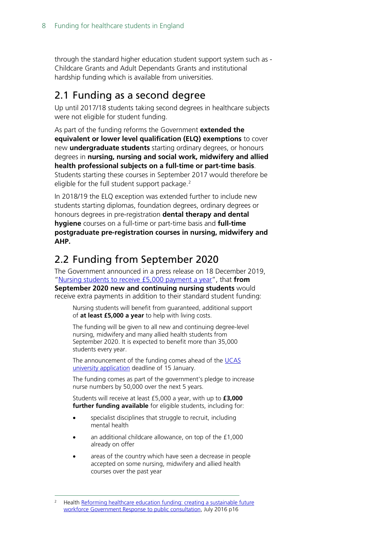through the standard higher education student support system such as - Childcare Grants and Adult Dependants Grants and institutional hardship funding which is available from universities.

## <span id="page-7-0"></span>2.1 Funding as a second degree

Up until 2017/18 students taking second degrees in healthcare subjects were not eligible for student funding.

As part of the funding reforms the Government **extended the equivalent or lower level qualification (ELQ) exemptions** to cover new **undergraduate students** starting ordinary degrees, or honours degrees in **nursing, nursing and social work, midwifery and allied health professional subjects on a full-time or part-time basis**. Students starting these courses in September 2017 would therefore be eligible for the full student support package.<sup>[2](#page-7-2)</sup>

In 2018/19 the ELQ exception was extended further to include new students starting diplomas, foundation degrees, ordinary degrees or honours degrees in pre-registration **dental therapy and dental hygiene** courses on a full-time or part-time basis and **full-time postgraduate pre-registration courses in nursing, midwifery and AHP.**

# <span id="page-7-1"></span>2.2 Funding from September 2020

The Government announced in a press release on 18 December 2019, ["Nursing students to receive £5,000 payment a year"](https://www.gov.uk/government/news/nursing-students-to-receive-5-000-payment-a-year), that **from September 2020 new and continuing nursing students** would receive extra payments in addition to their standard student funding:

Nursing students will benefit from guaranteed, additional support of **at least £5,000 a year** to help with living costs.

The funding will be given to all new and continuing degree-level nursing, midwifery and many allied health students from September 2020. It is expected to benefit more than 35,000 students every year.

The announcement of the funding comes ahead of the UCAS [university application](https://www.healthcareers.nhs.uk/nursing-careers) deadline of 15 January.

The funding comes as part of the government's pledge to increase nurse numbers by 50,000 over the next 5 years.

Students will receive at least £5,000 a year, with up to **£3,000 further funding available** for eligible students, including for:

- specialist disciplines that struggle to recruit, including mental health
- an additional childcare allowance, on top of the £1,000 already on offer
- areas of the country which have seen a decrease in people accepted on some nursing, midwifery and allied health courses over the past year

<span id="page-7-2"></span><sup>2</sup> Health [Reforming healthcare education funding: creating a sustainable future](https://www.gov.uk/government/uploads/system/uploads/attachment_data/file/539774/health-education-funding-response.pdf)  [workforce Government Response to public consultation,](https://www.gov.uk/government/uploads/system/uploads/attachment_data/file/539774/health-education-funding-response.pdf) July 2016 p16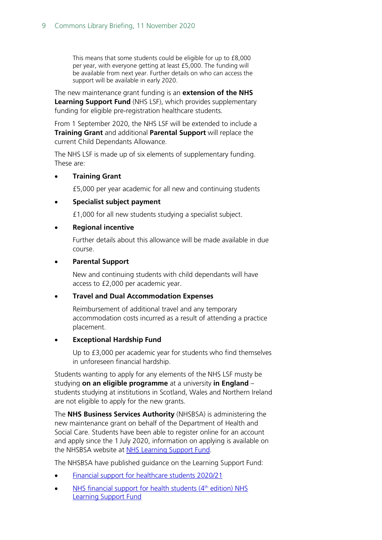This means that some students could be eligible for up to £8,000 per year, with everyone getting at least £5,000. The funding will be available from next year. Further details on who can access the support will be available in early 2020.

The new maintenance grant funding is an **extension of the NHS Learning Support Fund** (NHS LSF), which provides supplementary funding for eligible pre-registration healthcare students.

From 1 September 2020, the NHS LSF will be extended to include a **Training Grant** and additional **Parental Support** will replace the current Child Dependants Allowance.

The NHS LSF is made up of six elements of supplementary funding. These are:

#### • **Training Grant**

£5,000 per year academic for all new and continuing students

#### • **Specialist subject payment**

£1,000 for all new students studying a specialist subject.

#### • **Regional incentive**

Further details about this allowance will be made available in due course.

#### • **Parental Support**

New and continuing students with child dependants will have access to £2,000 per academic year.

#### • **Travel and Dual Accommodation Expenses**

Reimbursement of additional travel and any temporary accommodation costs incurred as a result of attending a practice placement.

#### • **Exceptional Hardship Fund**

Up to £3,000 per academic year for students who find themselves in unforeseen financial hardship.

Students wanting to apply for any elements of the NHS LSF musty be studying **on an eligible programme** at a university **in England** – students studying at institutions in Scotland, Wales and Northern Ireland are not eligible to apply for the new grants.

The **NHS Business Services Authority** (NHSBSA) is administering the new maintenance grant on behalf of the Department of Health and Social Care. Students have been able to register online for an account and apply since the 1 July 2020, information on applying is available on the NHSBSA website at [NHS Learning Support Fund.](https://www.nhsbsa.nhs.uk/nhs-learning-support-fund)

The NHSBSA have published guidance on the Learning Support Fund:

- [Financial support for healthcare students 2020/21](https://www.nhsbsa.nhs.uk/sites/default/files/2020-06/NHS%20LSF%20guidance%20booklet%20%28V1%29%2006.2020%20%28003%29.pdf)
- NHS financial support for health students (4<sup>th</sup> edition) NHS [Learning Support Fund](https://assets.publishing.service.gov.uk/government/uploads/system/uploads/attachment_data/file/896369/nhs-financial-support-for-health-students-4th-edition-learning-support-fund-2020-to-2021.pdf)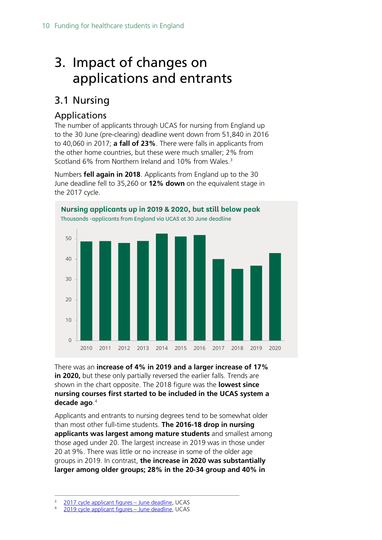# <span id="page-9-0"></span>3. Impact of changes on applications and entrants

# <span id="page-9-1"></span>3.1 Nursing

## <span id="page-9-2"></span>Applications

The number of applicants through UCAS for nursing from England up to the 30 June (pre-clearing) deadline went down from 51,840 in 2016 to 40,060 in 2017; **a fall of 23%**. There were falls in applicants from the other home countries, but these were much smaller; 2% from Scotland 6% from Northern Ireland and 10% from Wales.<sup>[3](#page-9-3)</sup>

Numbers **fell again in 2018**. Applicants from England up to the 30 June deadline fell to 35,260 or **12% down** on the equivalent stage in the 2017 cycle.



There was an **increase of 4% in 2019 and a larger increase of 17% in 2020,** but these only partially reversed the earlier falls. Trends are shown in the chart opposite. The 2018 figure was the **lowest since nursing courses first started to be included in the UCAS system a decade ago**. [4](#page-9-4)

Applicants and entrants to nursing degrees tend to be somewhat older than most other full-time students. **The 2016-18 drop in nursing applicants was largest among mature students** and smallest among those aged under 20. The largest increase in 2019 was in those under 20 at 9%. There was little or no increase in some of the older age groups in 2019. In contrast, **the increase in 2020 was substantially larger among older groups; 28% in the 20-34 group and 40% in** 

<span id="page-9-3"></span><sup>&</sup>lt;sup>3</sup> [2017 cycle applicant figures –](https://www.ucas.com/corporate/data-and-analysis/ucas-undergraduate-releases/2017-cycle-applicant-figures-june-deadline-0) June deadline, UCAS

<span id="page-9-4"></span><sup>4</sup> [2019 cycle applicant figures –](https://www.ucas.com/data-and-analysis/undergraduate-statistics-and-reports/ucas-undergraduate-releases/applicant-releases-2019-cycle/2019-cycle-applicant-figures-30-june-deadline) June deadline, UCAS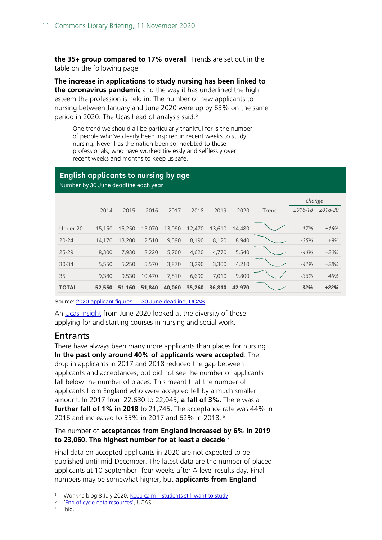**the 35+ group compared to 17% overall**. Trends are set out in the table on the following page.

**The increase in applications to study nursing has been linked to the coronavirus pandemic** and the way it has underlined the high esteem the profession is held in. The number of new applicants to nursing between January and June 2020 were up by 63% on the same period in 2020. The Ucas head of analysis said:<sup>[5](#page-10-1)</sup>

One trend we should all be particularly thankful for is the number of people who've clearly been inspired in recent weeks to study nursing. Never has the nation been so indebted to these professionals, who have worked tirelessly and selflessly over recent weeks and months to keep us safe.

## **English applicants to nursing by age**

Number by 30 June deadline each year

|              |        |        |        |        |        |        |        |       | change  |         |
|--------------|--------|--------|--------|--------|--------|--------|--------|-------|---------|---------|
|              | 2014   | 2015   | 2016   | 2017   | 2018   | 2019   | 2020   | Trend | 2016-18 | 2018-20 |
|              |        |        |        |        |        |        |        |       |         |         |
| Under 20     | 15,150 | 15,250 | 15,070 | 13,090 | 12,470 | 13,610 | 14,480 |       | $-17%$  | $+16%$  |
| $20 - 24$    | 14.170 | 13,200 | 12,510 | 9,590  | 8,190  | 8,120  | 8,940  |       | $-35%$  | $+9%$   |
| $25 - 29$    | 8,300  | 7,930  | 8,220  | 5,700  | 4,620  | 4,770  | 5,540  |       | $-44%$  | $+20%$  |
| $30 - 34$    | 5,550  | 5,250  | 5,570  | 3,870  | 3,290  | 3,300  | 4,210  |       | $-41%$  | $+28%$  |
| $35+$        | 9,380  | 9.530  | 10,470 | 7,810  | 6,690  | 7,010  | 9,800  |       | $-36%$  | $+46%$  |
| <b>TOTAL</b> | 52,550 | 51.160 | 51,840 | 40,060 | 35,260 | 36,810 | 42,970 |       | $-32%$  | $+22%$  |

Source: 2020 applicant figures - [30 June deadline, UCAS,](https://www.ucas.com/data-and-analysis/undergraduate-statistics-and-reports/ucas-undergraduate-releases/applicant-releases-2020/2020-cycle-applicant-figures-30-june-deadline)

An [Ucas Insight](https://www.ucas.com/corporate/news-and-key-documents/news/new-ucas-insight-shows-health-and-social-care-professions-among-most-diverse-and-welcoming-courses) from June 2020 looked at the diversity of those applying for and starting courses in nursing and social work.

## <span id="page-10-0"></span>**Entrants**

There have always been many more applicants than places for nursing. **In the past only around 40% of applicants were accepted**. The drop in applicants in 2017 and 2018 reduced the gap between applicants and acceptances, but did not see the number of applicants fall below the number of places. This meant that the number of applicants from England who were accepted fell by a much smaller amount. In 2017 from 22,630 to 22,045, **a fall of 3%.** There was a **further fall of 1% in 2018** to 21,745**.** The acceptance rate was 44% in 2016 and increased to 55% in 2017 and 62% in 2018. [6](#page-10-2)

#### The number of **acceptances from England increased by 6% in 2019 to 23,060. The highest number for at least a decade**. [7](#page-10-3)

Final data on accepted applicants in 2020 are not expected to be published until mid-December. The latest data are the number of placed applicants at 10 September -four weeks after A-level results day. Final numbers may be somewhat higher, but **applicants from England** 

<span id="page-10-1"></span><sup>&</sup>lt;sup>5</sup> Wonkhe blog 8 July 2020, <u>Keep calm – [students still want to study](https://wonkhe.com/blogs/keep-calm-students-still-want-to-study/)</u>

<span id="page-10-2"></span> $\frac{6}{7}$  ['End of cycle data resources'](https://www.ucas.com/data-and-analysis/ucas-undergraduate-releases/ucas-undergraduate-end-cycle-data-resources), UCAS

<span id="page-10-3"></span>ibid.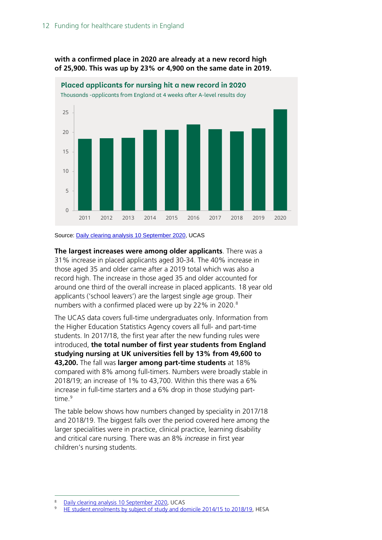

**with a confirmed place in 2020 are already at a new record high of 25,900. This was up by 23% or 4,900 on the same date in 2019.**

Source[: Daily clearing analysis 10 September 2020,](https://www.ucas.com/data-and-analysis/undergraduate-statistics-and-reports/statistical-releases-daily-clearing-analysis-2020) UCAS

**The largest increases were among older applicants**. There was a 31% increase in placed applicants aged 30-34. The 40% increase in those aged 35 and older came after a 2019 total which was also a record high. The increase in those aged 35 and older accounted for around one third of the overall increase in placed applicants. 18 year old applicants ('school leavers') are the largest single age group. Their numbers with a confirmed placed were up by 22% in 2020.<sup>[8](#page-11-0)</sup>

The UCAS data covers full-time undergraduates only. Information from the Higher Education Statistics Agency covers all full- and part-time students. In 2017/18, the first year after the new funding rules were introduced, **the total number of first year students from England studying nursing at UK universities fell by 13% from 49,600 to 43,200.** The fall was **larger among part-time students** at 18% compared with 8% among full-timers. Numbers were broadly stable in 2018/19; an increase of 1% to 43,700. Within this there was a 6% increase in full-time starters and a 6% drop in those studying parttime.<sup>9</sup>

The table below shows how numbers changed by speciality in 2017/18 and 2018/19. The biggest falls over the period covered here among the larger specialities were in practice, clinical practice, learning disability and critical care nursing. There was an 8% *increase* in first year children's nursing students.

<span id="page-11-0"></span><sup>8</sup> [Daily clearing analysis 10 September 2020,](https://www.ucas.com/data-and-analysis/undergraduate-statistics-and-reports/statistical-releases-daily-clearing-analysis-2020) UCAS

<span id="page-11-1"></span>[HE student enrolments by subject of study and domicile 2014/15 to 2018/19,](https://www.hesa.ac.uk/data-and-analysis/students/table-22) HESA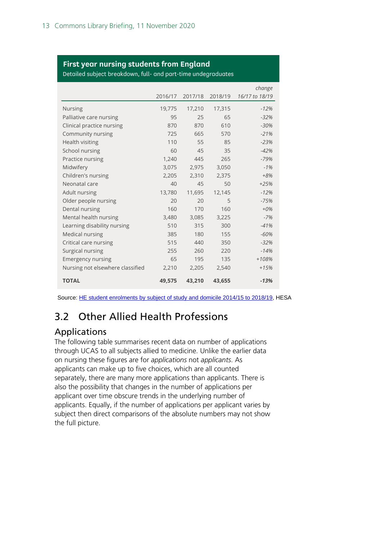### **First year nursing students from England**

Detailed subject breakdown, full- and part-time undegraduates

|                                  |         |         |         | change         |
|----------------------------------|---------|---------|---------|----------------|
|                                  | 2016/17 | 2017/18 | 2018/19 | 16/17 to 18/19 |
| <b>Nursing</b>                   | 19,775  | 17,210  | 17,315  | $-12%$         |
| Palliative care nursing          | 95      | 25      | 65      | $-32%$         |
| Clinical practice nursing        | 870     | 870     | 610     | $-30%$         |
| Community nursing                | 725     | 665     | 570     | $-21%$         |
| Health visiting                  | 110     | 55      | 85      | $-23%$         |
| School nursing                   | 60      | 45      | 35      | $-42%$         |
| Practice nursing                 | 1,240   | 445     | 265     | $-79%$         |
| Midwifery                        | 3,075   | 2,975   | 3,050   | $-1%$          |
| Children's nursing               | 2,205   | 2,310   | 2,375   | $+8%$          |
| Neonatal care                    | 40      | 45      | 50      | $+25%$         |
| Adult nursing                    | 13,780  | 11,695  | 12,145  | $-12%$         |
| Older people nursing             | 20      | 20      | 5       | $-75%$         |
| Dental nursing                   | 160     | 170     | 160     | $+0%$          |
| Mental health nursing            | 3,480   | 3,085   | 3,225   | $-7%$          |
| Learning disability nursing      | 510     | 315     | 300     | $-41%$         |
| Medical nursing                  | 385     | 180     | 155     | $-60%$         |
| Critical care nursing            | 515     | 440     | 350     | $-32%$         |
| Surgical nursing                 | 255     | 260     | 220     | $-14%$         |
| <b>Emergency nursing</b>         | 65      | 195     | 135     | $+108%$        |
| Nursing not elsewhere classified | 2,210   | 2,205   | 2,540   | $+15%$         |
| <b>TOTAL</b>                     | 49,575  | 43,210  | 43,655  | $-13%$         |

Source: [HE student enrolments by subject of study and domicile 2014/15 to 2018/19,](https://www.hesa.ac.uk/data-and-analysis/students/table-22) HESA

# <span id="page-12-0"></span>3.2 Other Allied Health Professions

## <span id="page-12-1"></span>Applications

The following table summarises recent data on number of applications through UCAS to all subjects allied to medicine. Unlike the earlier data on nursing these figures are for *applications* not *applicants*. As applicants can make up to five choices, which are all counted separately, there are many more applications than applicants. There is also the possibility that changes in the number of applications per applicant over time obscure trends in the underlying number of applicants. Equally, if the number of applications per applicant varies by subject then direct comparisons of the absolute numbers may not show the full picture.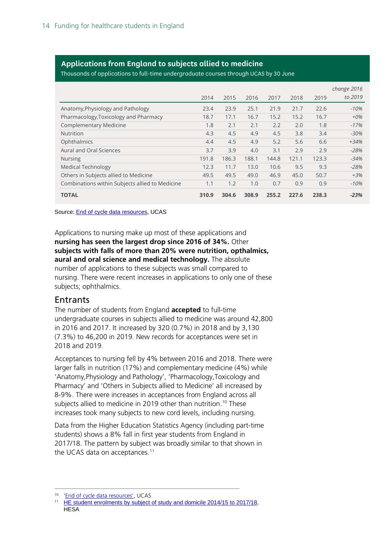### **Applications from England to subjects allied to medicine**

Thousands of applications to full-time undergraduate courses through UCAS by 30 June

|                                                 |       |       |       |       |       |       | change 2016 |
|-------------------------------------------------|-------|-------|-------|-------|-------|-------|-------------|
|                                                 | 2014  | 2015  | 2016  | 2017  | 2018  | 2019  | to 2019     |
| Anatomy, Physiology and Pathology               | 23.4  | 23.9  | 25.1  | 21.9  | 21.7  | 22.6  | $-10%$      |
| Pharmacology, Toxicology and Pharmacy           | 18.7  | 17.1  | 16.7  | 15.2  | 15.2  | 16.7  | $+0\%$      |
| <b>Complementary Medicine</b>                   | 1.8   | 2.1   | 2.1   | 2.2   | 2.0   | 1.8   | $-17%$      |
| <b>Nutrition</b>                                | 4.3   | 4.5   | 4.9   | 4.5   | 3.8   | 3.4   | $-30%$      |
| Ophthalmics                                     | 4.4   | 4.5   | 4.9   | 5.2   | 5.6   | 6.6   | $+34%$      |
| Aural and Oral Sciences                         | 3.7   | 3.9   | 4.0   | 3.1   | 2.9   | 2.9   | $-28%$      |
| <b>Nursing</b>                                  | 191.8 | 186.3 | 188.1 | 144.8 | 121.1 | 123.3 | $-34%$      |
| <b>Medical Technology</b>                       | 12.3  | 11.7  | 13.0  | 10.6  | 9.5   | 9.3   | $-28%$      |
| Others in Subjects allied to Medicine           | 49.5  | 49.5  | 49.0  | 46.9  | 45.0  | 50.7  | $+3%$       |
| Combinations within Subjects allied to Medicine | 1.1   | 1.2   | 1.0   | 0.7   | 0.9   | 0.9   | $-10%$      |
| <b>TOTAL</b>                                    | 310.9 | 304.6 | 308.9 | 255.2 | 227.6 | 238.3 | $-23%$      |

Source: **End of cycle data resources**, UCAS

Applications to nursing make up most of these applications and **nursing has seen the largest drop since 2016 of 34%.** Other **subjects with falls of more than 20% were nutrition, opthalmics, aural and oral science and medical technology.** The absolute number of applications to these subjects was small compared to nursing. There were recent increases in applications to only one of these subjects; ophthalmics.

### <span id="page-13-0"></span>**Entrants**

The number of students from England **accepted** to full-time undergraduate courses in subjects allied to medicine was around 42,800 in 2016 and 2017. It increased by 320 (0.7%) in 2018 and by 3,130 (7.3%) to 46,200 in 2019. New records for acceptances were set in 2018 and 2019.

Acceptances to nursing fell by 4% between 2016 and 2018. There were larger falls in nutrition (17%) and complementary medicine (4%) while 'Anatomy,Physiology and Pathology', 'Pharmacology,Toxicology and Pharmacy' and 'Others in Subjects allied to Medicine' all increased by 8-9%. There were increases in acceptances from England across all subjects allied to medicine in 2019 other than nutrition. [10](#page-13-1) These increases took many subjects to new cord levels, including nursing.

Data from the Higher Education Statistics Agency (including part-time students) shows a 8% fall in first year students from England in 2017/18. The pattern by subject was broadly similar to that shown in the UCAS data on acceptances.<sup>[11](#page-13-2)</sup>

<sup>10</sup> ['End of cycle data resources'](https://www.ucas.com/data-and-analysis/ucas-undergraduate-releases/ucas-undergraduate-end-cycle-data-resources), UCAS

<span id="page-13-2"></span><span id="page-13-1"></span><sup>&</sup>lt;sup>11</sup> [HE student enrolments by subject of study and domicile 2014/15 to 2017/18,](https://www.hesa.ac.uk/data-and-analysis/students/table-22) **HESA**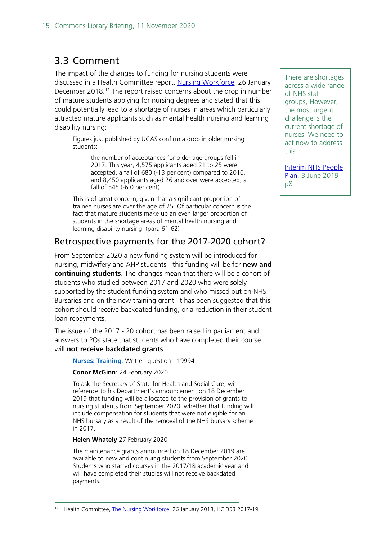## <span id="page-14-0"></span>3.3 Comment

The impact of the changes to funding for nursing students were discussed in a Health Committee report, [Nursing Workforce,](https://publications.parliament.uk/pa/cm201719/cmselect/cmhealth/353/35306.htm#_idTextAnchor021) 26 January December 2018.<sup>[12](#page-14-1)</sup> The report raised concerns about the drop in number of mature students applying for nursing degrees and stated that this could potentially lead to a shortage of nurses in areas which particularly attracted mature applicants such as mental health nursing and learning disability nursing:

Figures just published by UCAS confirm a drop in older nursing students:

> the number of acceptances for older age groups fell in 2017. This year, 4,575 applicants aged 21 to 25 were accepted, a fall of 680 (-13 per cent) compared to 2016, and 8,450 applicants aged 26 and over were accepted, a fall of 545 (-6.0 per cent).

This is of great concern, given that a significant proportion of trainee nurses are over the age of 25. Of particular concern is the fact that mature students make up an even larger proportion of students in the shortage areas of mental health nursing and learning disability nursing. (para 61-62)

### Retrospective payments for the 2017-2020 cohort?

From September 2020 a new funding system will be introduced for nursing, midwifery and AHP students - this funding will be for **new and continuing students**. The changes mean that there will be a cohort of students who studied between 2017 and 2020 who were solely supported by the student funding system and who missed out on NHS Bursaries and on the new training grant. It has been suggested that this cohort should receive backdated funding, or a reduction in their student loan repayments.

The issue of the 2017 - 20 cohort has been raised in parliament and answers to PQs state that students who have completed their course will **not receive backdated grants**:

**[Nurses: Training](https://www.parliament.uk/written-questions-answers-statements/written-question/commons/2020-02-24/19994)**: Written question - 19994

#### **Conor McGinn**: 24 February 2020

To ask the Secretary of State for Health and Social Care, with reference to his Department's announcement on 18 December 2019 that funding will be allocated to the provision of grants to nursing students from September 2020, whether that funding will include compensation for students that were not eligible for an NHS bursary as a result of the removal of the NHS bursary scheme in 2017.

#### **Helen Whately**:27 February 2020

The maintenance grants announced on 18 December 2019 are available to new and continuing students from September 2020. Students who started courses in the 2017/18 academic year and will have completed their studies will not receive backdated payments.

There are shortages across a wide range of NHS staff groups, However, the most urgent challenge is the current shortage of nurses. We need to act now to address this.

[Interim NHS People](https://www.longtermplan.nhs.uk/wp-content/uploads/2019/05/Interim-NHS-People-Plan_June2019.pdf)  [Plan,](https://www.longtermplan.nhs.uk/wp-content/uploads/2019/05/Interim-NHS-People-Plan_June2019.pdf) 3 June 2019 p8

<span id="page-14-1"></span><sup>&</sup>lt;sup>12</sup> Health Committee[, The Nursing Workforce,](https://publications.parliament.uk/pa/cm201719/cmselect/cmhealth/353/35306.htm#_idTextAnchor021) 26 January 2018, HC 353 2017-19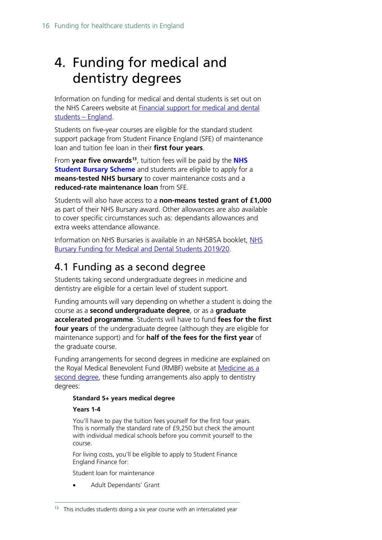# <span id="page-15-0"></span>4. Funding for medical and dentistry degrees

Information on funding for medical and dental students is set out on the NHS Careers website at **Financial support for medical and dental** [students –](https://www.healthcareers.nhs.uk/career-planning/study-and-training/considering-or-university/financial-support-university/financial-support-medical-and-dental-students-england) England.

Students on five-year courses are eligible for the standard student support package from Student Finance England (SFE) of maintenance loan and tuition fee loan in their **first four years**.

From **year five onwards[13](#page-15-2)**, tuition fees will be paid by the **[NHS](http://www.nhsbsa.nhs.uk/students)  [Student Bursary Scheme](http://www.nhsbsa.nhs.uk/students)** and students are eligible to apply for a **means-tested NHS bursary** to cover maintenance costs and a **reduced-rate maintenance loan** from SFE.

Students will also have access to a **non-means tested grant of £1,000** as part of their NHS Bursary award. Other allowances are also available to cover specific circumstances such as: dependants allowances and extra weeks attendance allowance.

Information on [NHS](https://www.nhsbsa.nhs.uk/sites/default/files/2019-07/NHS%20Bursary%20Funding%20for%20Medical%20and%20Dental%20Students%202019-20%20%28V1%29%2006%202019.pdf) Bursaries is available in an NHSBSA booklet, NHS [Bursary Funding for Medical and Dental Students 2019/20.](https://www.nhsbsa.nhs.uk/sites/default/files/2019-07/NHS%20Bursary%20Funding%20for%20Medical%20and%20Dental%20Students%202019-20%20%28V1%29%2006%202019.pdf)

# <span id="page-15-1"></span>4.1 Funding as a second degree

Students taking second undergraduate degrees in medicine and dentistry are eligible for a certain level of student support.

Funding amounts will vary depending on whether a student is doing the course as a **second undergraduate degree**, or as a **graduate accelerated programme**. Students will have to fund **fees for the first four years** of the undergraduate degree (although they are eligible for maintenance support) and for **half of the fees for the first year** of the graduate course.

Funding arrangements for second degrees in medicine are explained on the Royal Medical Benevolent Fund (RMBF) website at [Medicine as a](https://rmbf.org/medical-students/medicine-as-a-second-degree/)  [second degree,](https://rmbf.org/medical-students/medicine-as-a-second-degree/) these funding arrangements also apply to dentistry degrees:

#### **Standard 5+ years medical degree**

#### **Years 1-4**

You'll have to pay the tuition fees yourself for the first four years. This is normally the standard rate of £9,250 but check the amount with individual medical schools before you commit yourself to the course.

For living costs, you'll be eligible to apply to Student Finance England Finance for:

Student loan for maintenance

• Adult Dependants' Grant

<span id="page-15-2"></span> $13$  This includes students doing a six year course with an intercalated year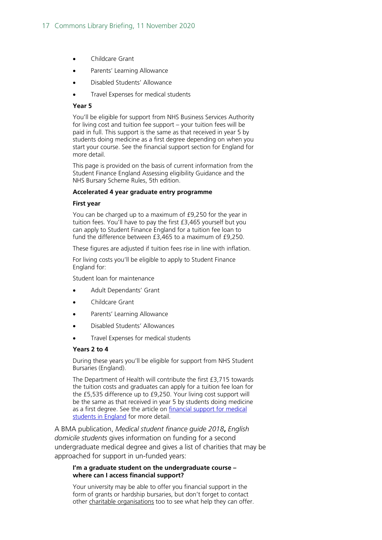- Childcare Grant
- Parents' Learning Allowance
- Disabled Students' Allowance
- Travel Expenses for medical students

#### **Year 5**

You'll be eligible for support from NHS Business Services Authority for living cost and tuition fee support – your tuition fees will be paid in full. This support is the same as that received in year 5 by students doing medicine as a first degree depending on when you start your course. See the financial support section for England for more detail.

This page is provided on the basis of current information from the Student Finance England Assessing eligibility Guidance and the NHS Bursary Scheme Rules, 5th edition.

#### **Accelerated 4 year graduate entry programme**

#### **First year**

You can be charged up to a maximum of £9,250 for the year in tuition fees. You'll have to pay the first £3,465 yourself but you can apply to Student Finance England for a tuition fee loan to fund the difference between £3,465 to a maximum of £9,250.

These figures are adjusted if tuition fees rise in line with inflation.

For living costs you'll be eligible to apply to Student Finance England for:

Student loan for maintenance

- Adult Dependants' Grant
- Childcare Grant
- Parents' Learning Allowance
- Disabled Students' Allowances
- Travel Expenses for medical students

#### **Years 2 to 4**

During these years you'll be eligible for support from NHS Student Bursaries (England).

The Department of Health will contribute the first £3,715 towards the tuition costs and graduates can apply for a tuition fee loan for the £5,535 difference up to £9,250. Your living cost support will be the same as that received in year 5 by students doing medicine as a first degree. See the article on financial support for medical [students in England](http://www.rmbf.org/medical-students/financial-support-for-medical-students-in-england/) for more detail.

A BMA publication, *Medical student finance guide 2018***,** *English domicile students* gives information on funding for a second undergraduate medical degree and gives a list of charities that may be approached for support in un-funded years:

#### **I'm a graduate student on the undergraduate course – where can I access financial support?**

Your university may be able to offer you financial support in the form of grants or hardship bursaries, but don't forget to contact other charitable organisations too to see what help they can offer.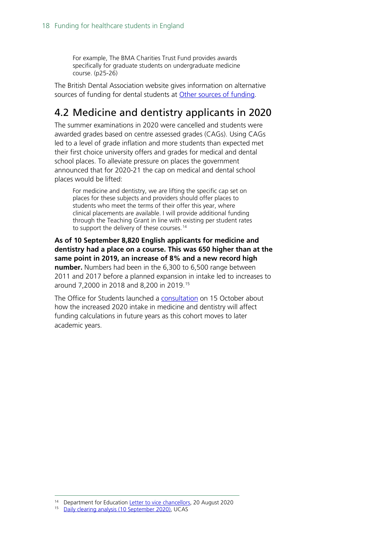For example, The BMA Charities Trust Fund provides awards specifically for graduate students on undergraduate medicine course. (p25-26)

The British Dental Association website gives information on alternative sources of funding for dental students at [Other sources of funding.](https://bda.org/students/student-finance/other-sources-of-funding)

# <span id="page-17-0"></span>4.2 Medicine and dentistry applicants in 2020

The summer examinations in 2020 were cancelled and students were awarded grades based on centre assessed grades (CAGs). Using CAGs led to a level of grade inflation and more students than expected met their first choice university offers and grades for medical and dental school places. To alleviate pressure on places the government announced that for 2020-21 the cap on medical and dental school places would be lifted:

For medicine and dentistry, we are lifting the specific cap set on places for these subjects and providers should offer places to students who meet the terms of their offer this year, where clinical placements are available. I will provide additional funding through the Teaching Grant in line with existing per student rates to support the delivery of these courses.<sup>[14](#page-17-1)</sup>

**As of 10 September 8,820 English applicants for medicine and dentistry had a place on a course. This was 650 higher than at the same point in 2019, an increase of 8% and a new record high number.** Numbers had been in the 6,300 to 6,500 range between 2011 and 2017 before a planned expansion in intake led to increases to around 7,2000 in 2018 and 8,200 in 2019.[15](#page-17-2)

The Office for Students launched a [consultation](https://www.officeforstudents.org.uk/publications/additional-funding-for-2020-21-and-monitoring-of-medical-and-dental-intake-targets/) on 15 October about how the increased 2020 intake in medicine and dentistry will affect funding calculations in future years as this cohort moves to later academic years.

<span id="page-17-1"></span><sup>&</sup>lt;sup>14</sup> Department for Education [Letter to vice chancellors,](https://assets.publishing.service.gov.uk/government/uploads/system/uploads/attachment_data/file/910754/MD_Letter_to_VC_master.pdf) 20 August 2020<br><sup>15</sup> Daily clearing analysis (10 September 2020), LICAS

<span id="page-17-2"></span>Daily clearing analysis [\(10 September 2020\),](https://www.ucas.com/data-and-analysis/undergraduate-statistics-and-reports/statistical-releases-daily-clearing-analysis-2020) UCAS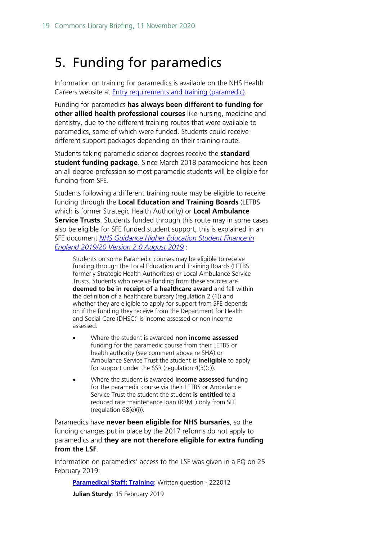# <span id="page-18-0"></span>5. Funding for paramedics

Information on training for paramedics is available on the NHS Health Careers website at Entry [requirements and training \(paramedic\).](https://www.healthcareers.nhs.uk/explore-roles/ambulance-service-team/roles-ambulance-service/paramedic/entry-requirements-and-training-paramedic)

Funding for paramedics **has always been different to funding for other allied health professional courses** like nursing, medicine and dentistry, due to the different training routes that were available to paramedics, some of which were funded. Students could receive different support packages depending on their training route.

Students taking paramedic science degrees receive the **standard student funding package**. Since March 2018 paramedicine has been an all degree profession so most paramedic students will be eligible for funding from SFE.

Students following a different training route may be eligible to receive funding through the **Local Education and Training Boards** (LETBS which is former Strategic Health Authority) or **Local Ambulance Service Trusts**. Students funded through this route may in some cases also be eligible for SFE funded student support, this is explained in an SFE document *[NHS Guidance Higher Education Student Finance in](https://www.practitioners.slc.co.uk/media/1721/sfe-nhs-guidance.pdf)  [England 2019/20 Version 2.0 August 2019](https://www.practitioners.slc.co.uk/media/1721/sfe-nhs-guidance.pdf)* :

Students on some Paramedic courses may be eligible to receive funding through the Local Education and Training Boards (LETBS formerly Strategic Health Authorities) or Local Ambulance Service Trusts. Students who receive funding from these sources are **deemed to be in receipt of a healthcare award** and fall within the definition of a healthcare bursary (regulation 2 (1)) and whether they are eligible to apply for support from SFE depends on if the funding they receive from the Department for Health and Social Care (DHSC)` is income assessed or non income assessed.

- Where the student is awarded **non income assessed** funding for the paramedic course from their LETBS or health authority (see comment above re SHA) or Ambulance Service Trust the student is **ineligible** to apply for support under the SSR (regulation 4(3)(c)).
- Where the student is awarded **income assessed** funding for the paramedic course via their LETBS or Ambulance Service Trust the student the student **is entitled** to a reduced rate maintenance loan (RRML) only from SFE (regulation 68(e)(i)).

Paramedics have **never been eligible for NHS bursaries**, so the funding changes put in place by the 2017 reforms do not apply to paramedics and **they are not therefore eligible for extra funding from the LSF**.

Information on paramedics' access to the LSF was given in a PQ on 25 February 2019:

**[Paramedical Staff: Training](https://www.parliament.uk/written-questions-answers-statements/written-question/commons/2019-02-15/222012): Written question - 222012** 

**Julian Sturdy**: 15 February 2019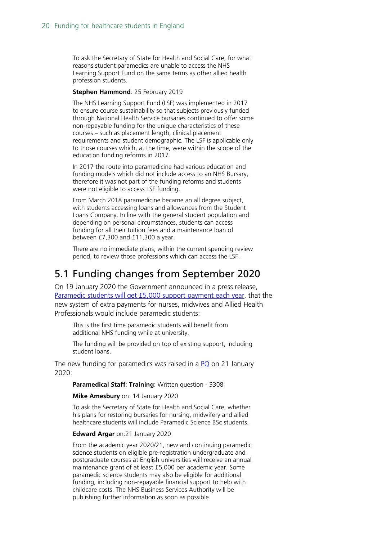To ask the Secretary of State for Health and Social Care, for what reasons student paramedics are unable to access the NHS Learning Support Fund on the same terms as other allied health profession students.

#### **Stephen Hammond**: 25 February 2019

The NHS Learning Support Fund (LSF) was implemented in 2017 to ensure course sustainability so that subjects previously funded through National Health Service bursaries continued to offer some non-repayable funding for the unique characteristics of these courses – such as placement length, clinical placement requirements and student demographic. The LSF is applicable only to those courses which, at the time, were within the scope of the education funding reforms in 2017.

In 2017 the route into paramedicine had various education and funding models which did not include access to an NHS Bursary, therefore it was not part of the funding reforms and students were not eligible to access LSF funding.

From March 2018 paramedicine became an all degree subject, with students accessing loans and allowances from the Student Loans Company. In line with the general student population and depending on personal circumstances, students can access funding for all their tuition fees and a maintenance loan of between £7,300 and £11,300 a year.

There are no immediate plans, within the current spending review period, to review those professions which can access the LSF.

## <span id="page-19-0"></span>5.1 Funding changes from September 2020

On 19 January 2020 the Government announced in a press release, [Paramedic students will get £5,000 support payment each year,](https://www.gov.uk/government/news/paramedic-students-will-get-5000-support-payment-each-year) that the new system of extra payments for nurses, midwives and Allied Health Professionals would include paramedic students:

This is the first time paramedic students will benefit from additional NHS funding while at university.

The funding will be provided on top of existing support, including student loans.

The new funding for paramedics was raised in a  $PQ$  on 21 January 2020:

**Paramedical Staff**: **Training**: Written question - 3308

**Mike Amesbury** on: 14 January 2020

To ask the Secretary of State for Health and Social Care, whether his plans for restoring bursaries for nursing, midwifery and allied healthcare students will include Paramedic Science BSc students.

#### **Edward Argar** on:21 January 2020

From the academic year 2020/21, new and continuing paramedic science students on eligible pre-registration undergraduate and postgraduate courses at English universities will receive an annual maintenance grant of at least £5,000 per academic year. Some paramedic science students may also be eligible for additional funding, including non-repayable financial support to help with childcare costs. The NHS Business Services Authority will be publishing further information as soon as possible.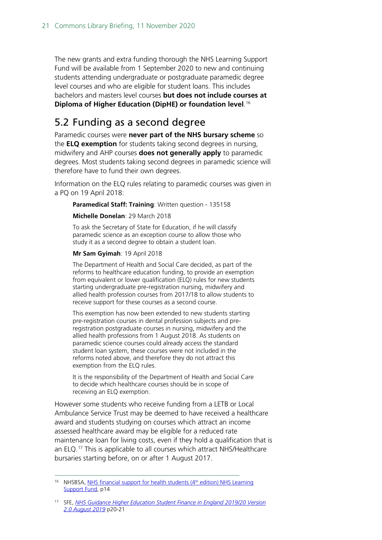The new grants and extra funding thorough the NHS Learning Support Fund will be available from 1 September 2020 to new and continuing students attending undergraduate or postgraduate paramedic degree level courses and who are eligible for student loans. This includes bachelors and masters level courses **but does not include courses at Diploma of Higher Education (DipHE) or foundation level**. [16](#page-20-1)

## <span id="page-20-0"></span>5.2 Funding as a second degree

Paramedic courses were **never part of the NHS bursary scheme** so the **ELQ exemption** for students taking second degrees in nursing, midwifery and AHP courses **does not generally apply** to paramedic degrees. Most students taking second degrees in paramedic science will therefore have to fund their own degrees.

Information on the ELQ rules relating to paramedic courses was given in a PQ on 19 April 2018:

**Paramedical Staff: Training**: Written question - 135158

#### **Michelle Donelan**: 29 March 2018

To ask the Secretary of State for Education, if he will classify paramedic science as an exception course to allow those who study it as a second degree to obtain a student loan.

#### **Mr Sam Gyimah**: 19 April 2018

The Department of Health and Social Care decided, as part of the reforms to healthcare education funding, to provide an exemption from equivalent or lower qualification (ELQ) rules for new students starting undergraduate pre-registration nursing, midwifery and allied health profession courses from 2017/18 to allow students to receive support for these courses as a second course.

This exemption has now been extended to new students starting pre-registration courses in dental profession subjects and preregistration postgraduate courses in nursing, midwifery and the allied health professions from 1 August 2018. As students on paramedic science courses could already access the standard student loan system, these courses were not included in the reforms noted above, and therefore they do not attract this exemption from the ELQ rules.

It is the responsibility of the Department of Health and Social Care to decide which healthcare courses should be in scope of receiving an ELQ exemption.

However some students who receive funding from a LETB or Local Ambulance Service Trust may be deemed to have received a healthcare award and students studying on courses which attract an income assessed healthcare award may be eligible for a reduced rate maintenance loan for living costs, even if they hold a qualification that is an ELQ. [17](#page-20-2) This is applicable to all courses which attract NHS/Healthcare bursaries starting before, on or after 1 August 2017.

<span id="page-20-1"></span><sup>&</sup>lt;sup>16</sup> NHSBSA, NHS financial support for health students  $(4<sup>th</sup>$  edition) NHS Learning [Support Fund,](https://assets.publishing.service.gov.uk/government/uploads/system/uploads/attachment_data/file/896369/nhs-financial-support-for-health-students-4th-edition-learning-support-fund-2020-to-2021.pdf) p14

<span id="page-20-2"></span><sup>17</sup> SFE, *[NHS Guidance Higher Education Student Finance in England 2019/20 Version](https://www.practitioners.slc.co.uk/media/1721/sfe-nhs-guidance.pdf)  [2.0 August 2019](https://www.practitioners.slc.co.uk/media/1721/sfe-nhs-guidance.pdf)* p20-21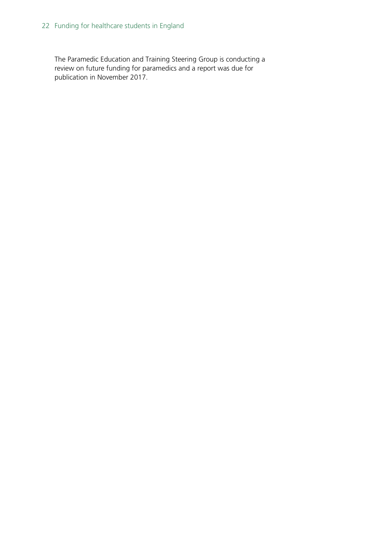The Paramedic Education and Training Steering Group is conducting a review on future funding for paramedics and a report was due for publication in November 2017.